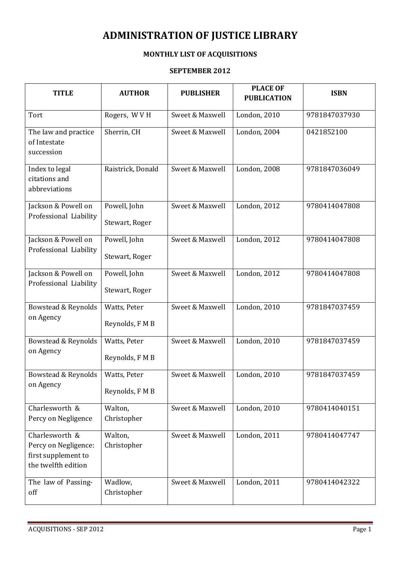## ADMINISTRATION OF JUSTICE LIBRARY

## MONTHLY LIST OF ACQUISITIONS

## SEPTEMBER 2012

| <b>TITLE</b>                                                                         | <b>AUTHOR</b>                  | <b>PUBLISHER</b> | <b>PLACE OF</b><br><b>PUBLICATION</b> | <b>ISBN</b>   |
|--------------------------------------------------------------------------------------|--------------------------------|------------------|---------------------------------------|---------------|
| Tort                                                                                 | Rogers, WVH                    | Sweet & Maxwell  | London, 2010                          | 9781847037930 |
| The law and practice<br>of Intestate<br>succession                                   | Sherrin, CH                    | Sweet & Maxwell  | London, 2004                          | 0421852100    |
| Index to legal<br>citations and<br>abbreviations                                     | Raistrick, Donald              | Sweet & Maxwell  | London, 2008                          | 9781847036049 |
| Jackson & Powell on<br>Professional Liability                                        | Powell, John<br>Stewart, Roger | Sweet & Maxwell  | <b>London</b> , 2012                  | 9780414047808 |
| Jackson & Powell on<br>Professional Liability                                        | Powell, John<br>Stewart, Roger | Sweet & Maxwell  | London, 2012                          | 9780414047808 |
| Jackson & Powell on<br>Professional Liability                                        | Powell, John<br>Stewart, Roger | Sweet & Maxwell  | <b>London</b> , 2012                  | 9780414047808 |
| Bowstead & Reynolds<br>on Agency                                                     | Watts, Peter<br>Reynolds, FMB  | Sweet & Maxwell  | <b>London</b> , 2010                  | 9781847037459 |
| Bowstead & Reynolds<br>on Agency                                                     | Watts, Peter<br>Reynolds, FMB  | Sweet & Maxwell  | <b>London</b> , 2010                  | 9781847037459 |
| Bowstead & Reynolds<br>on Agency                                                     | Watts, Peter<br>Reynolds, FMB  | Sweet & Maxwell  | <b>London</b> , 2010                  | 9781847037459 |
| Charlesworth $\overline{\&}$<br>Percy on Negligence                                  | Walton,<br>Christopher         | Sweet & Maxwell  | London, 2010                          | 9780414040151 |
| Charlesworth &<br>Percy on Negligence:<br>first supplement to<br>the twelfth edition | Walton,<br>Christopher         | Sweet & Maxwell  | London, 2011                          | 9780414047747 |
| The law of Passing-<br>off                                                           | Wadlow,<br>Christopher         | Sweet & Maxwell  | London, 2011                          | 9780414042322 |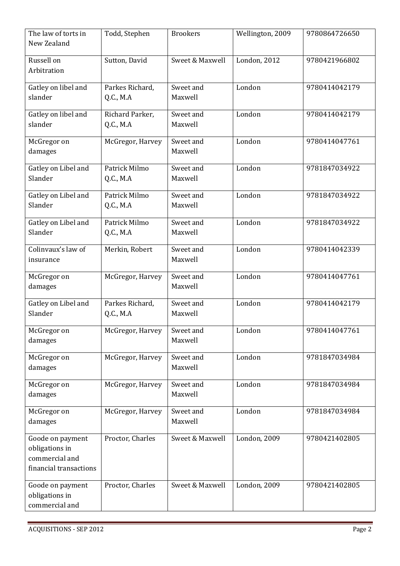| The law of torts in<br>New Zealand                                             | Todd, Stephen                     | <b>Brookers</b>      | Wellington, 2009     | 9780864726650 |
|--------------------------------------------------------------------------------|-----------------------------------|----------------------|----------------------|---------------|
| Russell on<br>Arbitration                                                      | Sutton, David                     | Sweet & Maxwell      | London, 2012         | 9780421966802 |
| Gatley on libel and<br>slander                                                 | Parkes Richard,<br>Q.C., M.A      | Sweet and<br>Maxwell | London               | 9780414042179 |
| Gatley on libel and<br>slander                                                 | Richard Parker,<br>Q.C., M.A      | Sweet and<br>Maxwell | London               | 9780414042179 |
| McGregor on<br>damages                                                         | McGregor, Harvey                  | Sweet and<br>Maxwell | London               | 9780414047761 |
| Gatley on Libel and<br>Slander                                                 | Patrick Milmo<br><b>Q.C., M.A</b> | Sweet and<br>Maxwell | London               | 9781847034922 |
| Gatley on Libel and<br>Slander                                                 | Patrick Milmo<br>Q.C., M.A        | Sweet and<br>Maxwell | London               | 9781847034922 |
| Gatley on Libel and<br>Slander                                                 | Patrick Milmo<br>Q.C., M.A        | Sweet and<br>Maxwell | London               | 9781847034922 |
| Colinvaux's law of<br>insurance                                                | Merkin, Robert                    | Sweet and<br>Maxwell | London               | 9780414042339 |
| McGregor on<br>damages                                                         | McGregor, Harvey                  | Sweet and<br>Maxwell | London               | 9780414047761 |
| Gatley on Libel and<br>Slander                                                 | Parkes Richard,<br>Q.C., M.A      | Sweet and<br>Maxwell | London               | 9780414042179 |
| McGregor on<br>damages                                                         | McGregor, Harvey                  | Sweet and<br>Maxwell | London               | 9780414047761 |
| McGregor on<br>damages                                                         | McGregor, Harvey                  | Sweet and<br>Maxwell | London               | 9781847034984 |
| McGregor on<br>damages                                                         | McGregor, Harvey                  | Sweet and<br>Maxwell | London               | 9781847034984 |
| McGregor on<br>damages                                                         | McGregor, Harvey                  | Sweet and<br>Maxwell | London               | 9781847034984 |
| Goode on payment<br>obligations in<br>commercial and<br>financial transactions | Proctor, Charles                  | Sweet & Maxwell      | <b>London</b> , 2009 | 9780421402805 |
| Goode on payment<br>obligations in<br>commercial and                           | Proctor, Charles                  | Sweet & Maxwell      | London, 2009         | 9780421402805 |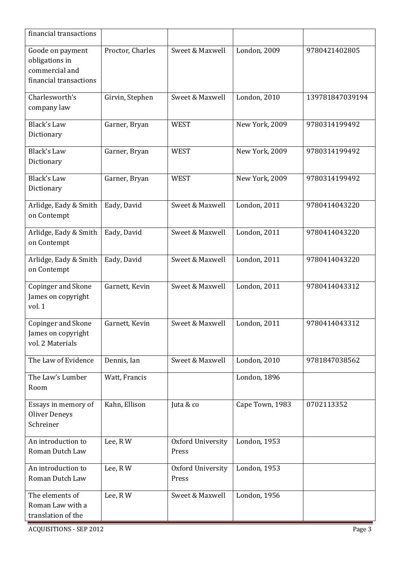| financial transactions                                                         |                  |                            |                 |                 |
|--------------------------------------------------------------------------------|------------------|----------------------------|-----------------|-----------------|
| Goode on payment<br>obligations in<br>commercial and<br>financial transactions | Proctor, Charles | Sweet & Maxwell            | London, 2009    | 9780421402805   |
| Charlesworth's<br>company law                                                  | Girvin, Stephen  | Sweet & Maxwell            | London, 2010    | 139781847039194 |
| <b>Black's Law</b><br>Dictionary                                               | Garner, Bryan    | <b>WEST</b>                | New York, 2009  | 9780314199492   |
| <b>Black's Law</b><br>Dictionary                                               | Garner, Bryan    | <b>WEST</b>                | New York, 2009  | 9780314199492   |
| <b>Black's Law</b><br>Dictionary                                               | Garner, Bryan    | <b>WEST</b>                | New York, 2009  | 9780314199492   |
| Arlidge, Eady & Smith<br>on Contempt                                           | Eady, David      | Sweet & Maxwell            | London, 2011    | 9780414043220   |
| Arlidge, Eady & Smith<br>on Contempt                                           | Eady, David      | Sweet & Maxwell            | London, 2011    | 9780414043220   |
| Arlidge, Eady & Smith<br>on Contempt                                           | Eady, David      | Sweet & Maxwell            | London, 2011    | 9780414043220   |
| Copinger and Skone<br>James on copyright<br>vol. 1                             | Garnett, Kevin   | Sweet & Maxwell            | London, 2011    | 9780414043312   |
| Copinger and Skone<br>James on copyright<br>vol. 2 Materials                   | Garnett, Kevin   | Sweet & Maxwell            | London, 2011    | 9780414043312   |
| The Law of Evidence                                                            | Dennis, Ian      | Sweet & Maxwell            | London, 2010    | 9781847038562   |
| The Law's Lumber<br>Room                                                       | Watt, Francis    |                            | London, 1896    |                 |
| Essays in memory of<br><b>Oliver Deneys</b><br>Schreiner                       | Kahn, Ellison    | Juta & co                  | Cape Town, 1983 | 0702113352      |
| An introduction to<br>Roman Dutch Law                                          | Lee, RW          | Oxford University<br>Press | London, 1953    |                 |
| An introduction to<br>Roman Dutch Law                                          | Lee, RW          | Oxford University<br>Press | London, 1953    |                 |
| The elements of<br>Roman Law with a<br>translation of the                      | Lee, RW          | Sweet & Maxwell            | London, 1956    |                 |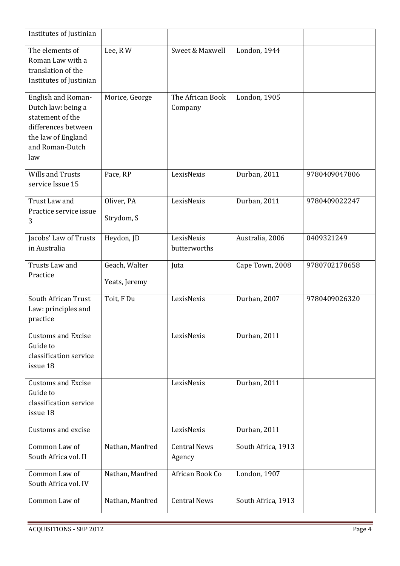| Institutes of Justinian                                                                                                             |                                |                               |                    |               |
|-------------------------------------------------------------------------------------------------------------------------------------|--------------------------------|-------------------------------|--------------------|---------------|
| The elements of<br>Roman Law with a<br>translation of the<br>Institutes of Justinian                                                | Lee, RW                        | Sweet & Maxwell               | London, 1944       |               |
| English and Roman-<br>Dutch law: being a<br>statement of the<br>differences between<br>the law of England<br>and Roman-Dutch<br>law | Morice, George                 | The African Book<br>Company   | London, 1905       |               |
| <b>Wills and Trusts</b><br>service Issue 15                                                                                         | Pace, RP                       | LexisNexis                    | Durban, 2011       | 9780409047806 |
| Trust Law and<br>Practice service issue<br>3                                                                                        | Oliver, PA<br>Strydom, S       | LexisNexis                    | Durban, 2011       | 9780409022247 |
| Jacobs' Law of Trusts<br>in Australia                                                                                               | Heydon, JD                     | LexisNexis<br>butterworths    | Australia, 2006    | 0409321249    |
| Trusts Law and<br>Practice                                                                                                          | Geach, Walter<br>Yeats, Jeremy | Juta                          | Cape Town, 2008    | 9780702178658 |
| South African Trust<br>Law: principles and<br>practice                                                                              | Toit, F Du                     | LexisNexis                    | Durban, 2007       | 9780409026320 |
| <b>Customs and Excise</b><br>Guide to<br>classification service<br>issue 18                                                         |                                | LexisNexis                    | Durban, 2011       |               |
| <b>Customs and Excise</b><br>Guide to<br>classification service<br>issue 18                                                         |                                | LexisNexis                    | Durban, 2011       |               |
| Customs and excise                                                                                                                  |                                | LexisNexis                    | Durban, 2011       |               |
| Common Law of<br>South Africa vol. II                                                                                               | Nathan, Manfred                | <b>Central News</b><br>Agency | South Africa, 1913 |               |
| Common Law of<br>South Africa vol. IV                                                                                               | Nathan, Manfred                | African Book Co               | London, 1907       |               |
| Common Law of                                                                                                                       | Nathan, Manfred                | <b>Central News</b>           | South Africa, 1913 |               |